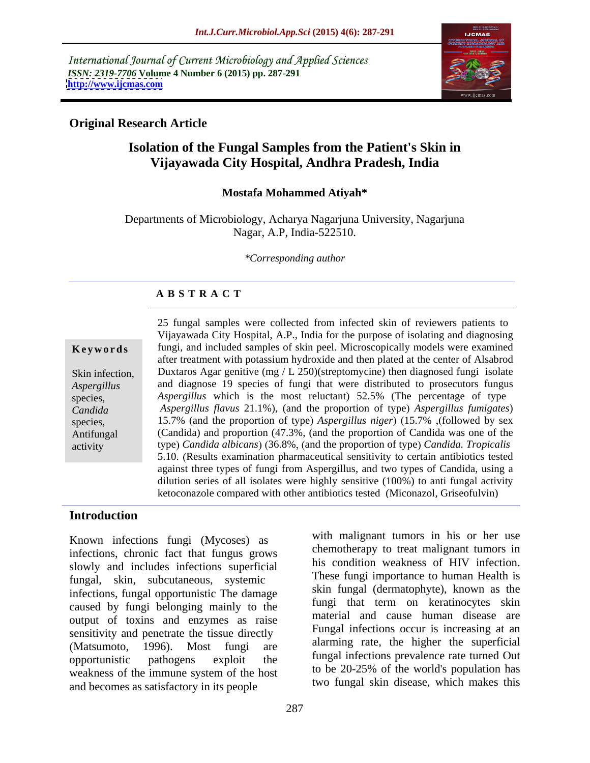International Journal of Current Microbiology and Applied Sciences *ISSN: 2319-7706* **Volume 4 Number 6 (2015) pp. 287-291 <http://www.ijcmas.com>**



## **Original Research Article**

# **Isolation of the Fungal Samples from the Patient's Skin in Vijayawada City Hospital, Andhra Pradesh, India**

### **Mostafa Mohammed Atiyah\***

Departments of Microbiology, Acharya Nagarjuna University, Nagarjuna Nagar, A.P, India-522510.

*\*Corresponding author*

# **A B S T R A C T**

activity

25 fungal samples were collected from infected skin of reviewers patients to Vijayawada City Hospital, A.P., India for the purpose of isolating and diagnosing **Keywords** fungi, and included samples of skin peel. Microscopically models were examined after treatment with potassium hydroxide and then plated at the center of Alsabrod Skin infection, Duxtaros Agar genitive (mg / L 250)(streptomycine) then diagnosed fungi isolate and diagnose 19 species of fungi that were distributed to prosecutors fungus *Aspergillus* species, *Aspergillus* which is the most reluctant) 52.5% (The percentage of type *Candida Aspergillus flavus* 21.1%), (and the proportion of type) *Aspergillus fumigates*) 15.7% and the proportion of type *Aspergillus niger* 15.7% followed by sex species, (Candida) and proportion (47.3%, (and the proportion of Candida was one of the Antifungal type) Candida albicans) (36.8%, (and the proportion of type) Candida. Tropicalis 5.10. Results examination pharmaceutical sensitivity to certain antibiotics tested against three types of fungi from Aspergillus, and two types of Candida, using a dilution series of all isolates were highly sensitive (100%) to anti fungal activity ketoconazole compared with other antibiotics tested (Miconazol, Griseofulvin)

### **Introduction**

Known infections fungi (Mycoses) as infections, chronic fact that fungus grows slowly and includes infections superficial fungal, skin, subcutaneous, systemic infections, fungal opportunistic The damage caused by fungi belonging mainly to the output of toxins and enzymes as raise sensitivity and penetrate the tissue directly opportunistic pathogens exploit the fungal infections prevalence rate turned Out weakness of the immune system of the host to be 20-25% of the world's population has and becomes as satisfactory in its people

Matsumoto, 1996). Most fungi are all all many rate, the inglier the superficial with malignant tumors in his or her use chemotherapy to treat malignant tumors in his condition weakness of HIV infection. These fungi importance to human Health is skin fungal (dermatophyte), known as the fungi that term on keratinocytes skin material and cause human disease are Fungal infections occur is increasing at an alarming rate, the higher the superficial to be 20-25% of the world's population has two fungal skin disease, which makes this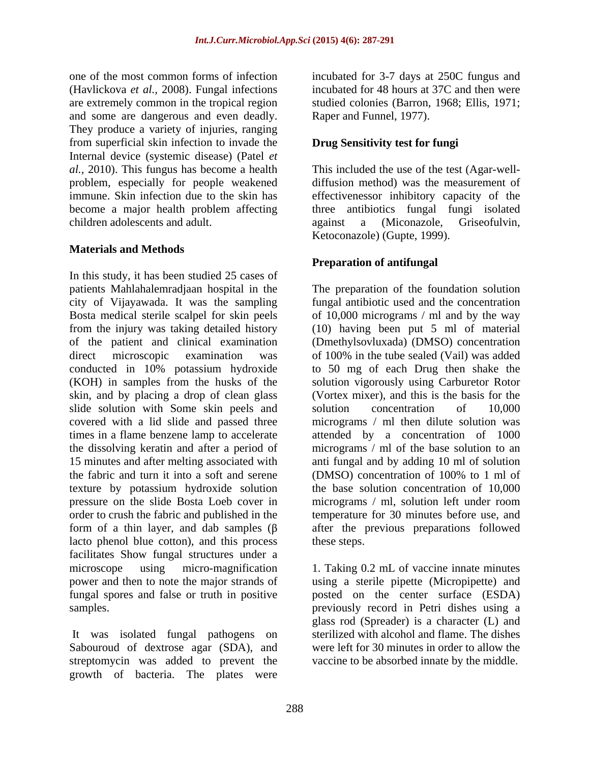one of the most common forms of infection incubated for 3-7 days at 250C fungus and (Havlickova *et al.,* 2008). Fungal infections are extremely common in the tropical region and some are dangerous and even deadly. They produce a variety of injuries, ranging from superficial skin infection to invade the Internal device (systemic disease) (Patel *et al.,* 2010). This fungus has become a health This included the use of the test (Agar-well problem, especially for people weakened immune. Skin infection due to the skin has become a major health problem affecting three antibiotics fungal fungi isolated children adolescents and adult. against a (Miconazole, Griseofulvin,

# **Materials and Methods**

In this study, it has been studied 25 cases of patients Mahlahalemradjaan hospital in the The preparation of the foundation solution city of Vijayawada. It was the sampling fungal antibiotic used and the concentration Bosta medical sterile scalpel for skin peels of 10,000 micrograms / ml and by the way from the injury was taking detailed history (10) having been put 5 ml of material of the patient and clinical examination (Dmethylsovluxada) (DMSO) concentration direct microscopic examination was of 100% in the tube sealed (Vail) was added conducted in 10% potassium hydroxide (KOH) in samples from the husks of the solution vigorously using Carburetor Rotor skin, and by placing a drop of clean glass slide solution with Some skin peels and solution concentration of 10,000 covered with a lid slide and passed three times in a flame benzene lamp to accelerate attended by a concentration of 1000 the dissolving keratin and after a period of 15 minutes and after melting associated with anti fungal and by adding 10 ml of solution the fabric and turn it into a soft and serene (DMSO) concentration of 100% to 1 ml of texture by potassium hydroxide solution pressure on the slide Bosta Loeb cover in micrograms / ml, solution left under room order to crush the fabric and published in the temperature for 30 minutes before use, and form of a thin layer, and dab samples  $(\beta \cdot \alpha)$  after the previous preparations followed lacto phenol blue cotton), and this process facilitates Show fungal structures under a microscope using micro-magnification 1. Taking 0.2 mL of vaccine innate minutes power and then to note the major strands of using a sterile pipette (Micropipette) and fungal spores and false or truth in positive posted on the center surface (ESDA)

It was isolated fungal pathogens on Sabouroud of dextrose agar (SDA), and streptomycin was added to prevent the growth of bacteria. The plates were

incubated for 48 hours at 37C and then were studied colonies (Barron, 1968; Ellis, 1971; Raper and Funnel, 1977).

# **Drug Sensitivity test for fungi**

diffusion method) was the measurement of effectivenessor inhibitory capacity of the Ketoconazole) (Gupte, 1999).

# **Preparation of antifungal**

to 50 mg of each Drug then shake the (Vortex mixer), and this is the basis for the solution concentration of 10,000 micrograms / ml then dilute solution was micrograms / ml of the base solution to an (DMSO) concentration of 100% to 1 ml of the base solution concentration of 10,000 micrograms / ml, solution left under room

samples. previously record in Petri dishes using a these steps.<br>1. Taking 0.2 mL of vaccine innate minutes glass rod (Spreader) is a character (L) and sterilized with alcohol and flame. The dishes were left for 30 minutes in order to allow the vaccine to be absorbed innate by the middle.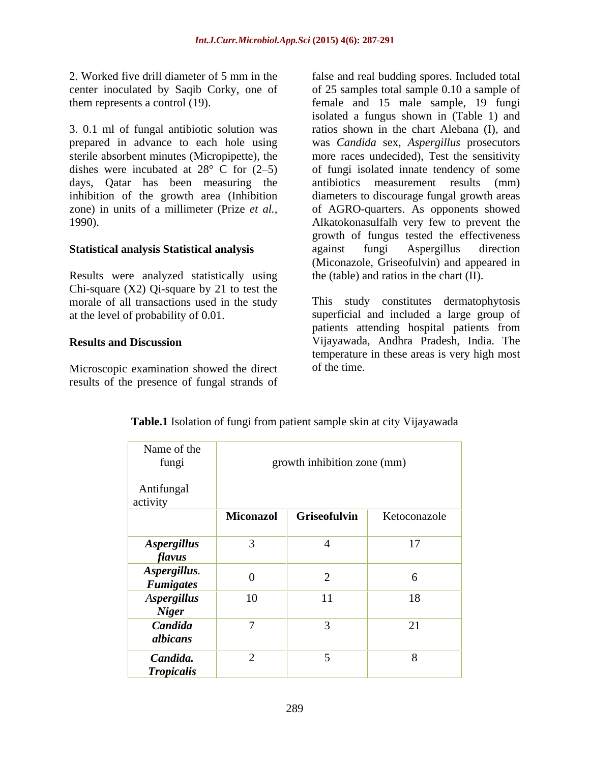3. 0.1 ml of fungal antibiotic solution was prepared in advance to each hole using was *Candida* sex, *Aspergillus* prosecutors sterile absorbent minutes (Micropipette), the more races undecided), Test the sensitivity dishes were incubated at  $28^{\circ}$  C for  $(2-5)$  of fungi isolated innate tendency of some days, Qatar has been measuring the antibiotics measurement results (mm) inhibition of the growth area (Inhibition zone) in units of a millimeter (Prize *et al.*, of AGRO-quarters. As opponents showed

Results were analyzed statistically using Chi-square  $(X2)$  Qi-square by 21 to test the morale of all transactions used in the study

Microscopic examination showed the direct of the time. results of the presence of fungal strands of

2. Worked five drill diameter of 5 mm in the false and real budding spores. Included total center inoculated by Saqib Corky, one of of 25 samples total sample 0.10 a sample of them represents a control (19). female and 15 male sample, 19 fungi 1990). Alkatokonasulfalh very few to prevent the **Statistical analysis Statistical analysis** isolated a fungus shown in (Table 1) and ratios shown in the chart Alebana (I), and antibiotics measurement results (mm) diameters to discourage fungal growth areas growth of fungus tested the effectiveness against fungi Aspergillus direction (Miconazole, Griseofulvin) and appeared in the (table) and ratios in the chart (II).

at the level of probability of 0.01. superficial and included a large group of **Results and Discussion** Vijayawada, Andhra Pradesh, India. The This study constitutes dermatophytosis patients attending hospital patients from temperature in these areas is very high most of the time.

| Name of the<br>fungi               |                  | growth inhibition zone (mm) |              |
|------------------------------------|------------------|-----------------------------|--------------|
| Antifungal<br>activity             |                  |                             |              |
|                                    | <b>Miconazol</b> | Griseofulvin                | Ketoconazole |
| <b>Aspergillus</b><br>flavus       |                  |                             | 17           |
| Aspergillus.<br><b>Fumigates</b>   | $\boldsymbol{0}$ |                             | O            |
| <b>Aspergillus</b><br><b>Niger</b> | 10               | 11                          | 18           |
| Candida<br>albicans                |                  |                             | 21           |
| Candida.<br><b>Tropicalis</b>      |                  |                             | 8            |

**Table.1** Isolation of fungi from patient sample skin at city Vijayawada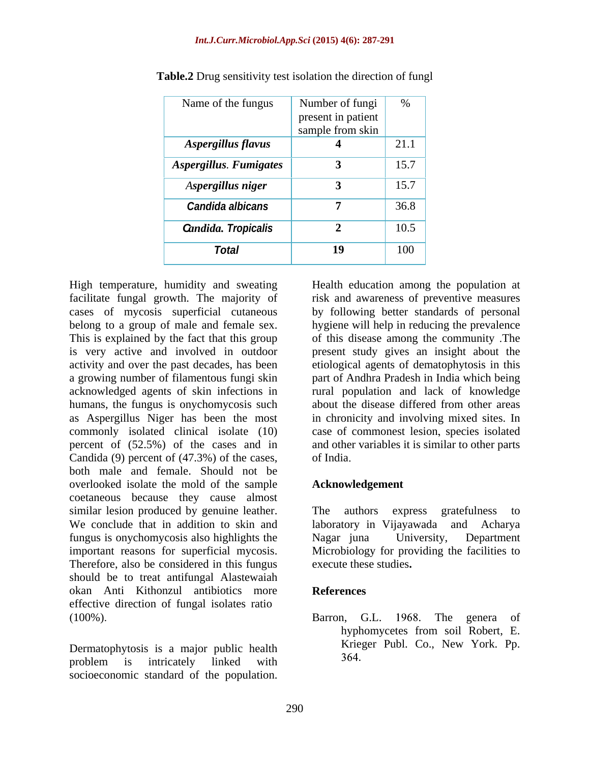#### *Int.J.Curr.Microbiol.App.Sci* **(2015) 4(6): 287-291**

| Name of the fungus         | Number of fungi $\vert$ %              |      |
|----------------------------|----------------------------------------|------|
|                            | present in patient<br>sample from skin |      |
| Aspergillus flavus         |                                        | 21.1 |
| Aspergillus. Fumigates     |                                        | 15.7 |
| Aspergillus niger          |                                        | 15.7 |
| Candida albicans           |                                        | 36.8 |
| <b>Gandida. Tropicalis</b> |                                        | 10.5 |
| <b>Total</b>               | 19                                     | 100  |

**Table.2** Drug sensitivity test isolation the direction of fungl

facilitate fungal growth. The majority of risk and awareness of preventive measures cases of mycosis superficial cutaneous by following better standards of personal belong to a group of male and female sex. hygiene will help in reducing the prevalence This is explained by the fact that this group of this disease among the community The is very active and involved in outdoor present study gives an insight about the activity and over the past decades, has been a growing number of filamentous fungi skin part of Andhra Pradesh in India which being acknowledged agents of skin infections in rural population and lack of knowledge humans, the fungus is onychomycosis such about the disease differed from other areas as Aspergillus Niger has been the most in chronicity and involving mixed sites. In commonly isolated clinical isolate (10) case of commonest lesion, species isolated percent of (52.5%) of the cases and in and other variables it is similar to other parts Candida (9) percent of (47.3%) of the cases, both male and female. Should not be overlooked isolate the mold of the sample coetaneous because they cause almost similar lesion produced by genuine leather. The authors express gratefulness to<br>We conclude that in addition to skin and laboratory in Vijayawada and Acharya fungus is onychomycosis also highlights the important reasons for superficial mycosis. Microbiology for providing the facilities to Therefore, also be considered in this fungus should be to treat antifungal Alastewaiah okan Anti Kithonzul antibiotics more effective direction of fungal isolates ratio High temperature, humidity and sweating<br>
a Feacilitate fungal growth. The majority of<br>
frisk and awareness of preventive measures<br>
cases of myosis superficial cutaneous by following better standards of personal<br>
beholomic

Dermatophytosis is a major public health problem is intricately linked with  $204$ .

High temperature, humidity and sweating Health education among the population at etiological agents of dematophytosis in this about the disease differed from other areas of India

### **Acknowledgement**

The authors express gratefulness to laboratory in Vijayawada and Acharya Nagar juna University, Department execute these studies**.**

### **References**

100%). Barron, G.L. 1968. The genera of Barron, G.L. 1968. The genera of hyphomycetes from soil Robert, E. Krieger Publ. Co., New York. Pp. 364.